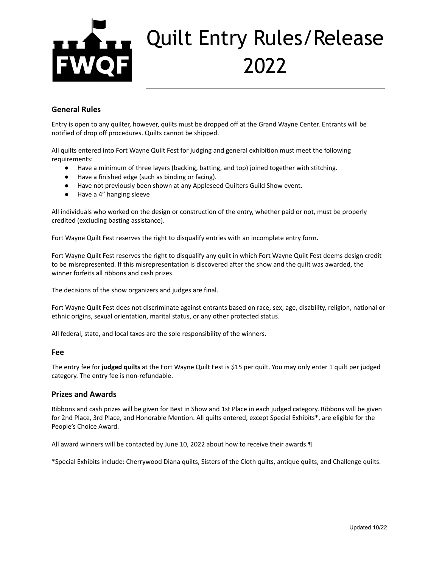# Quilt Entry Rules/Release 2022

### **General Rules**

Entry is open to any quilter, however, quilts must be dropped off at the Grand Wayne Center. Entrants will be notified of drop off procedures. Quilts cannot be shipped.

All quilts entered into Fort Wayne Quilt Fest for judging and general exhibition must meet the following requirements:

- Have a minimum of three layers (backing, batting, and top) joined together with stitching.
- Have a finished edge (such as binding or facing).
- Have not previously been shown at any Appleseed Quilters Guild Show event.
- Have a 4" hanging sleeve

All individuals who worked on the design or construction of the entry, whether paid or not, must be properly credited (excluding basting assistance).

Fort Wayne Quilt Fest reserves the right to disqualify entries with an incomplete entry form.

Fort Wayne Quilt Fest reserves the right to disqualify any quilt in which Fort Wayne Quilt Fest deems design credit to be misrepresented. If this misrepresentation is discovered after the show and the quilt was awarded, the winner forfeits all ribbons and cash prizes.

The decisions of the show organizers and judges are final.

Fort Wayne Quilt Fest does not discriminate against entrants based on race, sex, age, disability, religion, national or ethnic origins, sexual orientation, marital status, or any other protected status.

All federal, state, and local taxes are the sole responsibility of the winners.

#### **Fee**

The entry fee for **judged quilts** at the Fort Wayne Quilt Fest is \$15 per quilt. You may only enter 1 quilt per judged category. The entry fee is non-refundable.

#### **Prizes and Awards**

Ribbons and cash prizes will be given for Best in Show and 1st Place in each judged category. Ribbons will be given for 2nd Place, 3rd Place, and Honorable Mention. All quilts entered, except Special Exhibits\*, are eligible for the People's Choice Award.

All award winners will be contacted by June 10, 2022 about how to receive their awards.¶

\*Special Exhibits include: Cherrywood Diana quilts, Sisters of the Cloth quilts, antique quilts, and Challenge quilts.